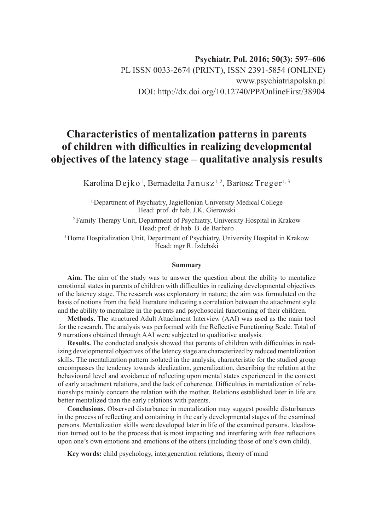# **Characteristics of mentalization patterns in parents of children with difficulties in realizing developmental objectives of the latency stage – qualitative analysis results**

Karolina Dejko $^{\rm l}$ , Bernadetta Janusz $^{\rm l, 2}$ , Bartosz Treger $^{\rm l, 3}$ 

1.Department of Psychiatry, Jagiellonian University Medical College Head: prof. dr hab. J.K. Gierowski

2.Family Therapy Unit, Department of Psychiatry, University Hospital in Krakow Head: prof. dr hab. B. de Barbaro

3.Home Hospitalization Unit, Department of Psychiatry, University Hospital in Krakow Head: mgr R. Izdebski

#### **Summary**

**Aim.** The aim of the study was to answer the question about the ability to mentalize emotional states in parents of children with difficulties in realizing developmental objectives of the latency stage. The research was exploratory in nature; the aim was formulated on the basis of notions from the field literature indicating a correlation between the attachment style and the ability to mentalize in the parents and psychosocial functioning of their children.

**Methods.** The structured Adult Attachment Interview (AAI) was used as the main tool for the research. The analysis was performed with the Reflective Functioning Scale. Total of 9 narrations obtained through AAI were subjected to qualitative analysis.

**Results.** The conducted analysis showed that parents of children with difficulties in realizing developmental objectives of the latency stage are characterized by reduced mentalization skills. The mentalization pattern isolated in the analysis, characteristic for the studied group encompasses the tendency towards idealization, generalization, describing the relation at the behavioural level and avoidance of reflecting upon mental states experienced in the context of early attachment relations, and the lack of coherence. Difficulties in mentalization of relationships mainly concern the relation with the mother. Relations established later in life are better mentalized than the early relations with parents.

**Conclusions.** Observed disturbance in mentalization may suggest possible disturbances in the process of reflecting and containing in the early developmental stages of the examined persons. Mentalization skills were developed later in life of the examined persons. Idealization turned out to be the process that is most impacting and interfering with free reflections upon one's own emotions and emotions of the others (including those of one's own child).

**Key words:** child psychology, intergeneration relations, theory of mind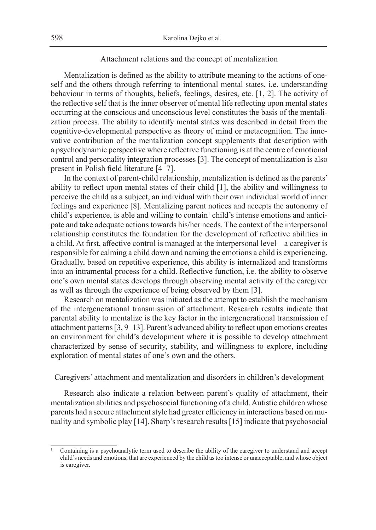# Attachment relations and the concept of mentalization

Mentalization is defined as the ability to attribute meaning to the actions of oneself and the others through referring to intentional mental states, i.e. understanding behaviour in terms of thoughts, beliefs, feelings, desires, etc. [1, 2]. The activity of the reflective self that is the inner observer of mental life reflecting upon mental states occurring at the conscious and unconscious level constitutes the basis of the mentalization process. The ability to identify mental states was described in detail from the cognitive-developmental perspective as theory of mind or metacognition. The innovative contribution of the mentalization concept supplements that description with a psychodynamic perspective where reflective functioning is at the centre of emotional control and personality integration processes [3]. The concept of mentalization is also present in Polish field literature [4–7].

In the context of parent-child relationship, mentalization is defined as the parents' ability to reflect upon mental states of their child [1], the ability and willingness to perceive the child as a subject, an individual with their own individual world of inner feelings and experience [8]. Mentalizing parent notices and accepts the autonomy of child's experience, is able and willing to contain<sup>1</sup> child's intense emotions and anticipate and take adequate actions towards his/her needs. The context of the interpersonal relationship constitutes the foundation for the development of reflective abilities in a child. At first, affective control is managed at the interpersonal level – a caregiver is responsible for calming a child down and naming the emotions a child is experiencing. Gradually, based on repetitive experience, this ability is internalized and transforms into an intramental process for a child. Reflective function, i.e. the ability to observe one's own mental states develops through observing mental activity of the caregiver as well as through the experience of being observed by them [3].

Research on mentalization was initiated as the attempt to establish the mechanism of the intergenerational transmission of attachment. Research results indicate that parental ability to mentalize is the key factor in the intergenerational transmission of attachment patterns [3, 9–13]. Parent's advanced ability to reflect upon emotions creates an environment for child's development where it is possible to develop attachment characterized by sense of security, stability, and willingness to explore, including exploration of mental states of one's own and the others.

Caregivers' attachment and mentalization and disorders in children's development

Research also indicate a relation between parent's quality of attachment, their mentalization abilities and psychosocial functioning of a child. Autistic children whose parents had a secure attachment style had greater efficiency in interactions based on mutuality and symbolic play [14]. Sharp's research results [15] indicate that psychosocial

<sup>1</sup> Containing is a psychoanalytic term used to describe the ability of the caregiver to understand and accept child's needs and emotions, that are experienced by the child as too intense or unacceptable, and whose object is caregiver.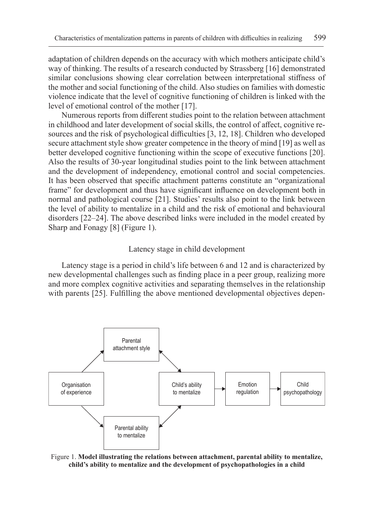adaptation of children depends on the accuracy with which mothers anticipate child's way of thinking. The results of a research conducted by Strassberg [16] demonstrated similar conclusions showing clear correlation between interpretational stiffness of the mother and social functioning of the child. Also studies on families with domestic violence indicate that the level of cognitive functioning of children is linked with the level of emotional control of the mother [17].

Numerous reports from different studies point to the relation between attachment in childhood and later development of social skills, the control of affect, cognitive resources and the risk of psychological difficulties [3, 12, 18]. Children who developed secure attachment style show greater competence in the theory of mind [19] as well as better developed cognitive functioning within the scope of executive functions [20]. Also the results of 30-year longitudinal studies point to the link between attachment and the development of independency, emotional control and social competencies. It has been observed that specific attachment patterns constitute an "organizational frame" for development and thus have significant influence on development both in normal and pathological course [21]. Studies' results also point to the link between the level of ability to mentalize in a child and the risk of emotional and behavioural disorders [22–24]. The above described links were included in the model created by Sharp and Fonagy [8] (Figure 1).

#### Latency stage in child development

Latency stage is a period in child's life between 6 and 12 and is characterized by new developmental challenges such as finding place in a peer group, realizing more and more complex cognitive activities and separating themselves in the relationship with parents [25]. Fulfilling the above mentioned developmental objectives depen-



Figure 1. **Model illustrating the relations between attachment, parental ability to mentalize, child's ability to mentalize and the development of psychopathologies in a child**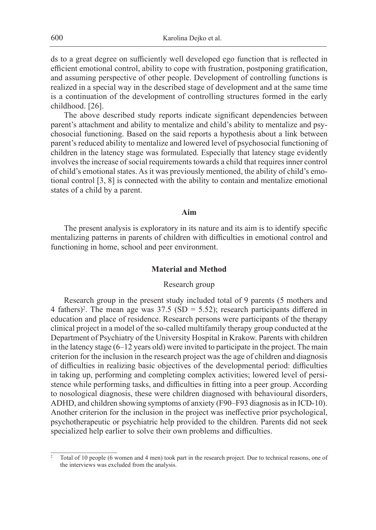ds to a great degree on sufficiently well developed ego function that is reflected in efficient emotional control, ability to cope with frustration, postponing gratification, and assuming perspective of other people. Development of controlling functions is realized in a special way in the described stage of development and at the same time is a continuation of the development of controlling structures formed in the early childhood. [26].

The above described study reports indicate significant dependencies between parent's attachment and ability to mentalize and child's ability to mentalize and psychosocial functioning. Based on the said reports a hypothesis about a link between parent's reduced ability to mentalize and lowered level of psychosocial functioning of children in the latency stage was formulated. Especially that latency stage evidently involves the increase of social requirements towards a child that requires inner control of child's emotional states. As it was previously mentioned, the ability of child's emotional control [3, 8] is connected with the ability to contain and mentalize emotional states of a child by a parent.

#### **Aim**

The present analysis is exploratory in its nature and its aim is to identify specific mentalizing patterns in parents of children with difficulties in emotional control and functioning in home, school and peer environment.

# **Material and Method**

# Research group

Research group in the present study included total of 9 parents (5 mothers and 4 fathers)<sup>2</sup>. The mean age was  $37.5$  (SD = 5.52); research participants differed in education and place of residence. Research persons were participants of the therapy clinical project in a model of the so-called multifamily therapy group conducted at the Department of Psychiatry of the University Hospital in Krakow. Parents with children in the latency stage (6–12 years old) were invited to participate in the project. The main criterion for the inclusion in the research project was the age of children and diagnosis of difficulties in realizing basic objectives of the developmental period: difficulties in taking up, performing and completing complex activities; lowered level of persistence while performing tasks, and difficulties in fitting into a peer group. According to nosological diagnosis, these were children diagnosed with behavioural disorders, ADHD, and children showing symptoms of anxiety (F90–F93 diagnosis as in ICD-10). Another criterion for the inclusion in the project was ineffective prior psychological, psychotherapeutic or psychiatric help provided to the children. Parents did not seek specialized help earlier to solve their own problems and difficulties.

<sup>2</sup> Total of 10 people (6 women and 4 men) took part in the research project. Due to technical reasons, one of the interviews was excluded from the analysis.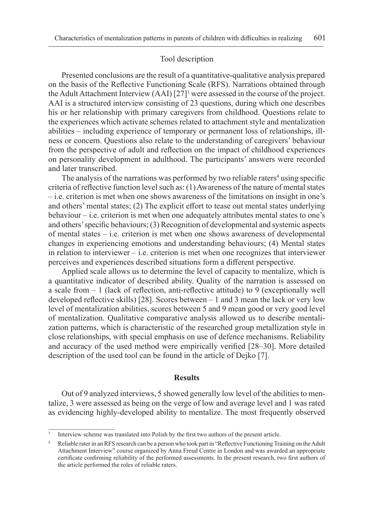#### Tool description

Presented conclusions are the result of a quantitative-qualitative analysis prepared on the basis of the Reflective Functioning Scale (RFS). Narrations obtained through the Adult Attachment Interview  $(AAI)$   $[27]$ <sup>3</sup> were assessed in the course of the project. AAI is a structured interview consisting of 23 questions, during which one describes his or her relationship with primary caregivers from childhood. Questions relate to the experiences which activate schemes related to attachment style and mentalization abilities – including experience of temporary or permanent loss of relationships, illness or concern. Questions also relate to the understanding of caregivers' behaviour from the perspective of adult and reflection on the impact of childhood experiences on personality development in adulthood. The participants' answers were recorded and later transcribed.

The analysis of the narrations was performed by two reliable raters<sup>4</sup> using specific criteria of reflective function level such as: (1) Awareness of the nature of mental states – i.e. criterion is met when one shows awareness of the limitations on insight in one's and others' mental states; (2) The explicit effort to tease out mental states underlying behaviour  $-i.e.$  criterion is met when one adequately attributes mental states to one's and others' specific behaviours; (3) Recognition of developmental and systemic aspects of mental states – i.e. criterion is met when one shows awareness of developmental changes in experiencing emotions and understanding behaviours; (4) Mental states in relation to interviewer – i.e. criterion is met when one recognizes that interviewer perceives and experiences described situations form a different perspective.

Applied scale allows us to determine the level of capacity to mentalize, which is a quantitative indicator of described ability. Quality of the narration is assessed on a scale from  $-1$  (lack of reflection, anti-reflective attitude) to 9 (exceptionally well developed reflective skills) [28]. Scores between – 1 and 3 mean the lack or very low level of mentalization abilities, scores between 5 and 9 mean good or very good level of mentalization. Qualitative comparative analysis allowed us to describe mentalization patterns, which is characteristic of the researched group metallization style in close relationships, with special emphasis on use of defence mechanisms. Reliability and accuracy of the used method were empirically verified [28–30]. More detailed description of the used tool can be found in the article of Dejko [7].

# **Results**

Out of 9 analyzed interviews, 5 showed generally low level of the abilities to mentalize, 3 were assessed as being on the verge of low and average level and 1 was rated as evidencing highly-developed ability to mentalize. The most frequently observed

Interview scheme was translated into Polish by the first two authors of the present article.

<sup>4</sup> Reliable rater in an RFS research can be a person who took part in "Reflective Functioning Training on the Adult Attachment Interview" course organized by Anna Freud Centre in London and was awarded an appropriate certificate confirming reliability of the performed assessments. In the present research, two first authors of the article performed the roles of reliable raters.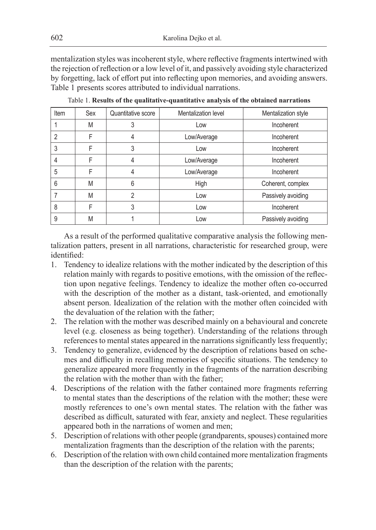mentalization styles was incoherent style, where reflective fragments intertwined with the rejection of reflection or a low level of it, and passively avoiding style characterized by forgetting, lack of effort put into reflecting upon memories, and avoiding answers. Table 1 presents scores attributed to individual narrations.

| Item | Sex | Quantitative score | Mentalization level | Mentalization style |
|------|-----|--------------------|---------------------|---------------------|
|      | M   | 3                  | Low                 | Incoherent          |
| 2    | F   | 4                  | Low/Average         | Incoherent          |
| 3    | F   | 3                  | Low                 | Incoherent          |
|      | F   | 4                  | Low/Average         | Incoherent          |
| 5    | F   | 4                  | Low/Average         | Incoherent          |
| 6    | M   | 6                  | High                | Coherent, complex   |
|      | M   | 2                  | Low                 | Passively avoiding  |
| 8    | F   | 3                  | Low                 | Incoherent          |
| 9    | M   |                    | Low                 | Passively avoiding  |

Table 1. **Results of the qualitative-quantitative analysis of the obtained narrations**

As a result of the performed qualitative comparative analysis the following mentalization patters, present in all narrations, characteristic for researched group, were identified:

- 1. Tendency to idealize relations with the mother indicated by the description of this relation mainly with regards to positive emotions, with the omission of the reflection upon negative feelings. Tendency to idealize the mother often co-occurred with the description of the mother as a distant, task-oriented, and emotionally absent person. Idealization of the relation with the mother often coincided with the devaluation of the relation with the father;
- 2. The relation with the mother was described mainly on a behavioural and concrete level (e.g. closeness as being together). Understanding of the relations through references to mental states appeared in the narrations significantly less frequently;
- 3. Tendency to generalize, evidenced by the description of relations based on schemes and difficulty in recalling memories of specific situations. The tendency to generalize appeared more frequently in the fragments of the narration describing the relation with the mother than with the father;
- 4. Descriptions of the relation with the father contained more fragments referring to mental states than the descriptions of the relation with the mother; these were mostly references to one's own mental states. The relation with the father was described as difficult, saturated with fear, anxiety and neglect. These regularities appeared both in the narrations of women and men;
- 5. Description of relations with other people (grandparents, spouses) contained more mentalization fragments than the description of the relation with the parents;
- 6. Description of the relation with own child contained more mentalization fragments than the description of the relation with the parents;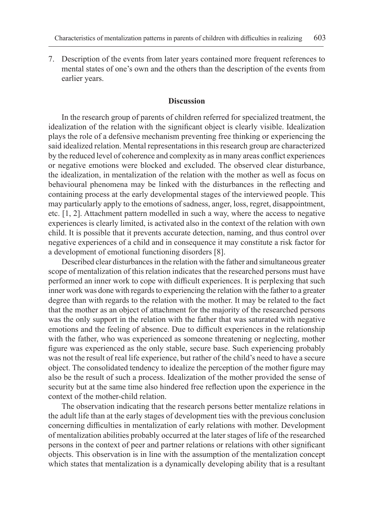7. Description of the events from later years contained more frequent references to mental states of one's own and the others than the description of the events from earlier years.

# **Discussion**

In the research group of parents of children referred for specialized treatment, the idealization of the relation with the significant object is clearly visible. Idealization plays the role of a defensive mechanism preventing free thinking or experiencing the said idealized relation. Mental representations in this research group are characterized by the reduced level of coherence and complexity as in many areas conflict experiences or negative emotions were blocked and excluded. The observed clear disturbance, the idealization, in mentalization of the relation with the mother as well as focus on behavioural phenomena may be linked with the disturbances in the reflecting and containing process at the early developmental stages of the interviewed people. This may particularly apply to the emotions of sadness, anger, loss, regret, disappointment, etc. [1, 2]. Attachment pattern modelled in such a way, where the access to negative experiences is clearly limited, is activated also in the context of the relation with own child. It is possible that it prevents accurate detection, naming, and thus control over negative experiences of a child and in consequence it may constitute a risk factor for a development of emotional functioning disorders [8].

Described clear disturbances in the relation with the father and simultaneous greater scope of mentalization of this relation indicates that the researched persons must have performed an inner work to cope with difficult experiences. It is perplexing that such inner work was done with regards to experiencing the relation with the father to a greater degree than with regards to the relation with the mother. It may be related to the fact that the mother as an object of attachment for the majority of the researched persons was the only support in the relation with the father that was saturated with negative emotions and the feeling of absence. Due to difficult experiences in the relationship with the father, who was experienced as someone threatening or neglecting, mother figure was experienced as the only stable, secure base. Such experiencing probably was not the result of real life experience, but rather of the child's need to have a secure object. The consolidated tendency to idealize the perception of the mother figure may also be the result of such a process. Idealization of the mother provided the sense of security but at the same time also hindered free reflection upon the experience in the context of the mother-child relation.

The observation indicating that the research persons better mentalize relations in the adult life than at the early stages of development ties with the previous conclusion concerning difficulties in mentalization of early relations with mother. Development of mentalization abilities probably occurred at the later stages of life of the researched persons in the context of peer and partner relations or relations with other significant objects. This observation is in line with the assumption of the mentalization concept which states that mentalization is a dynamically developing ability that is a resultant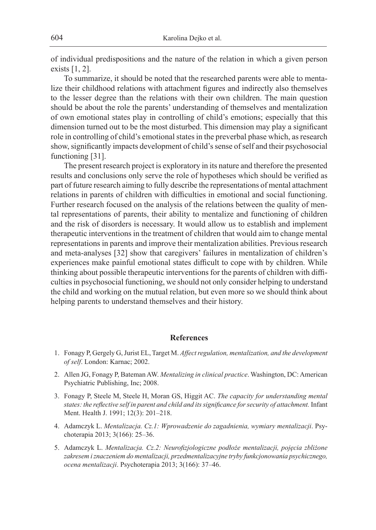of individual predispositions and the nature of the relation in which a given person exists [1, 2].

To summarize, it should be noted that the researched parents were able to mentalize their childhood relations with attachment figures and indirectly also themselves to the lesser degree than the relations with their own children. The main question should be about the role the parents' understanding of themselves and mentalization of own emotional states play in controlling of child's emotions; especially that this dimension turned out to be the most disturbed. This dimension may play a significant role in controlling of child's emotional states in the preverbal phase which, as research show, significantly impacts development of child's sense of self and their psychosocial functioning [31].

The present research project is exploratory in its nature and therefore the presented results and conclusions only serve the role of hypotheses which should be verified as part of future research aiming to fully describe the representations of mental attachment relations in parents of children with difficulties in emotional and social functioning. Further research focused on the analysis of the relations between the quality of mental representations of parents, their ability to mentalize and functioning of children and the risk of disorders is necessary. It would allow us to establish and implement therapeutic interventions in the treatment of children that would aim to change mental representations in parents and improve their mentalization abilities. Previous research and meta-analyses [32] show that caregivers' failures in mentalization of children's experiences make painful emotional states difficult to cope with by children. While thinking about possible therapeutic interventions for the parents of children with difficulties in psychosocial functioning, we should not only consider helping to understand the child and working on the mutual relation, but even more so we should think about helping parents to understand themselves and their history.

### **References**

- 1. Fonagy P, Gergely G, Jurist EL, Target M. *Affect regulation, mentalization, and the development of self*. London: Karnac; 2002.
- 2. Allen JG, Fonagy P, Bateman AW. *Mentalizing in clinical practice*. Washington, DC: American Psychiatric Publishing, Inc; 2008.
- 3. Fonagy P, Steele M, Steele H, Moran GS, Higgit AC. *The capacity for understanding mental states: the reflective self in parent and child and its significance for security of attachment.* Infant Ment. Health J. 1991; 12(3): 201–218.
- 4. Adamczyk L. *Mentalizacja. Cz.1: Wprowadzenie do zagadnienia, wymiary mentalizacji*. Psychoterapia 2013; 3(166): 25–36.
- 5. Adamczyk L. *Mentalizacja. Cz.2: Neurofizjologiczne podłoże mentalizacji, pojęcia zbliżone zakresem i znaczeniem do mentalizacji, przedmentalizacyjne tryby funkcjonowania psychicznego, ocena mentalizacji*. Psychoterapia 2013; 3(166): 37–46.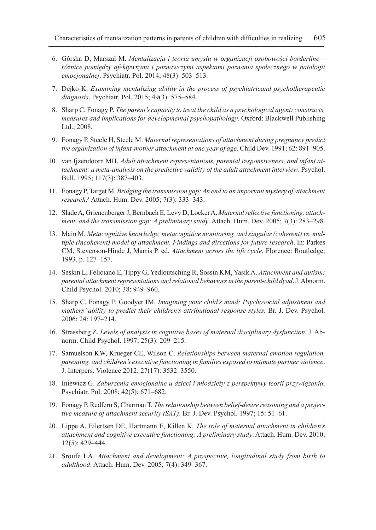- 6. Górska D, Marszał M. *Mentalizacja i teoria umysłu w organizacji osobowości borderline różnice pomiędzy afektywnymi i poznawczymi aspektami poznania społecznego w patologii emocjonalnej*. Psychiatr. Pol. 2014; 48(3): 503–513.
- 7. Dejko K. *Examining mentalizing ability in the process of psychiatricand psychotherapeutic diagnosis*. Psychiatr. Pol. 2015; 49(3): 575–584.
- 8. Sharp C, Fonagy P. *The parent's capacity to treat the child as a psychological agent: constructs, measures and implications for developmental psychopathology*. Oxford: Blackwell Publishing Ltd.; 2008.
- 9. Fonagy P, Steele H, Steele M. *Maternal representations of attachment during pregnancy predict the organization of infant-mother attachment at one year of age*. Child Dev. 1991; 62: 891–905.
- 10. van Ijzendoorn MH. *Adult attachment representations, parental responsiveness, and infant attachment: a meta-analysis on the predictive validity of the adult attachment interview*. Psychol. Bull. 1995; 117(3): 387–403.
- 11. Fonagy P, Target M. *Bridging the transmission gap: An end to an important mystery of attachment research?* Attach. Hum. Dev. 2005; 7(3): 333–343.
- 12. Slade A, Grienenberger J, Bernbach E, Levy D, Locker A. *Maternal reflective functioning, attachment, and the transmission gap: A preliminary study*. Attach. Hum. Dev. 2005; 7(3): 283–298.
- 13. Main M. *Metacognitive knowledge, metacognitive monitoring, and singular (coherent) vs. multiple (incoherent) model of attachment. Findings and directions for future research*. In: Parkes CM, Stevenson-Hinde J, Marris P. ed. *Attachment across the life cycle*. Florence: Routledge; 1993. p. 127–157.
- 14. Seskin L, Feliciano E, Tippy G, Yedloutsching R, Sossin KM, Yasik A. *Attachment and autism: parental attachment representations and relational behaviors in the parent-child dyad*. J. Abnorm. Child Psychol. 2010; 38: 949–960.
- 15. Sharp C, Fonagy P, Goodyer IM. *Imagining your child's mind: Psychosocial adjustment and mothers' ability to predict their children's attributional response styles.* Br. J. Dev. Psychol. 2006; 24: 197–214.
- 16. Strassberg Z. *Levels of analysis in cognitive bases of maternal disciplinary dysfunction*. J. Abnorm. Child Psychol. 1997; 25(3): 209–215.
- 17. Samuelson KW, Krueger CE, Wilson C. *Relationships between maternal emotion regulation, parenting, and children's executive functioning in families exposed to intimate partner violence*. J. Interpers. Violence 2012; 27(17): 3532–3550.
- 18. Iniewicz G. *Zaburzenia emocjonalne u dzieci i młodzieży z perspektywy teorii przywiązania*. Psychiatr. Pol. 2008; 42(5): 671–682.
- 19. Fonagy P, Redfern S, Charman T. *The relationship between belief-desire reasoning and a projective measure of attachment security (SAT)*. Br. J. Dev. Psychol. 1997; 15: 51–61.
- 20. Lippe A, Eilertsen DE, Hartmann E, Killen K. *The role of maternal attachment in children's attachment and cognitive executive functioning: A preliminary study*. Attach. Hum. Dev. 2010; 12(5): 429–444.
- 21. Sroufe LA. *Attachment and development: A prospective, longitudinal study from birth to adulthood*. Attach. Hum. Dev. 2005; 7(4): 349–367.